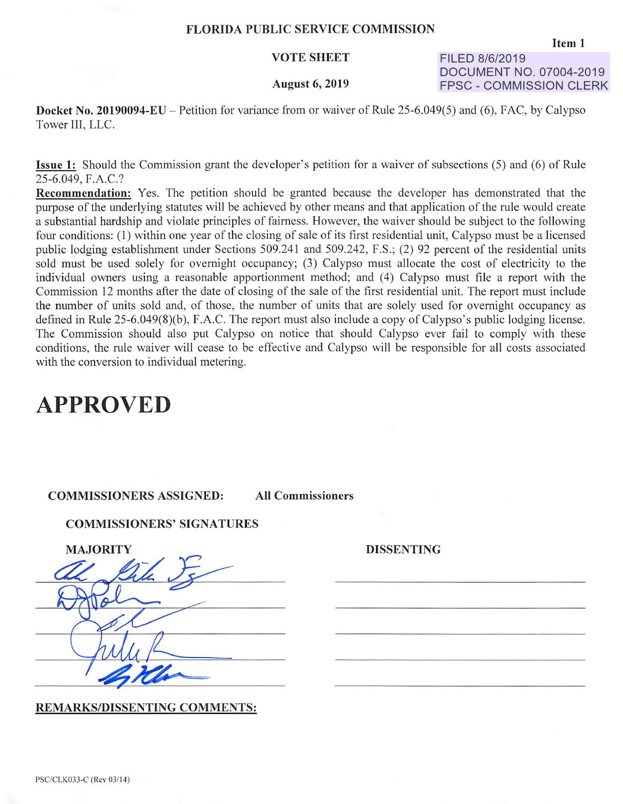### **FLORIDA PUBLIC SERVICE COMMISSION**

### **VOTE SHEET**

#### **August 6, 2019**

**FILED 8/6/2019 DOCUMENT NO. 07004-2019 FPSC- COMMISSION CLERK** 

**Docket No. 20190094-EU-** Petition for variance from or waiver of Rule 25-6.049(5) and (6), FAC, by Calypso Tower III, LLC.

**Issue 1:** Should the Commission grant the developer's petition for a waiver of subsections (5) and (6) of Rule 25-6.049, F.A.C.?

**Recommendation:** Yes. The petition should be granted because the developer has demonstrated that the purpose of the underlying statutes will be achieved by other means and that application of the rule would create a substantial hardship and violate principles of fairness. However, the waiver should be subject to the following four conditions: (I) within one year of the closing of sale of its first residential unit, Calypso must be a licensed public lodging establishment under Sections 509.241 and 509.242, F.S.; (2) 92 percent of the residential units sold must be used solely for overnight occupancy; (3) Calypso must allocate the cost of electricity to the individual owners using a reasonable apportionment method; and (4) Calypso must file a report with the Commission 12 months after the date of closing of the sale of the first residential unit. The report must include the number of units sold and, of those, the number of units that are solely used for overnight occupancy as defined in Rule 25-6.049(8)(b), F.A.C. The report must also include a copy of Calypso's public lodging license. The Commission should also put Calypso on notice that should Calypso ever fail to comply with these conditions, the rule waiver will cease to be effective and Calypso will be responsible for all costs associated with the conversion to individual metering.

# **APPROVED**

## **COMMISSIONERS ASSIGNED: All Commissioners**

**COMMISSIONERS' SIGNATURES** 

| <b>MAJORITY</b> |
|-----------------|
| Ò               |
|                 |
|                 |
|                 |
|                 |

**DISSENTING** 

**REMARKS/DISSENTING COMMENTS:**